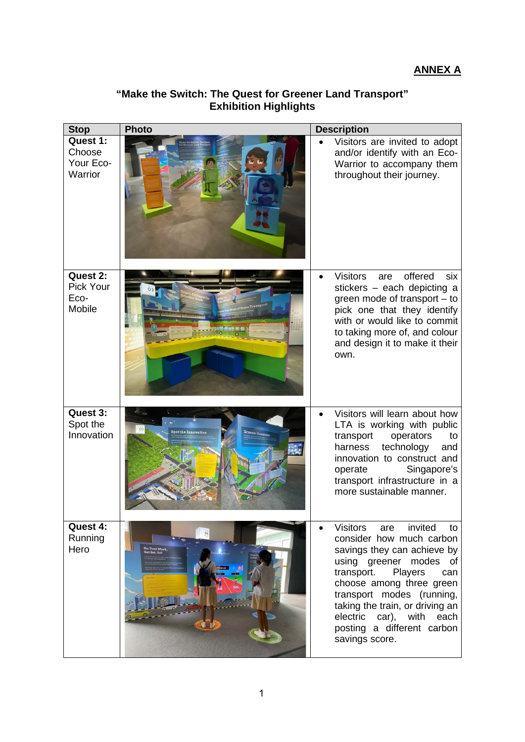| <b>Stop</b>                                | <b>Photo</b>                      | <b>Description</b>                                                                                                                                                                                                                                                                                                                         |
|--------------------------------------------|-----------------------------------|--------------------------------------------------------------------------------------------------------------------------------------------------------------------------------------------------------------------------------------------------------------------------------------------------------------------------------------------|
| Quest 1:<br>Choose<br>Your Eco-<br>Warrior |                                   | Visitors are invited to adopt<br>and/or identify with an Eco-<br>Warrior to accompany them<br>throughout their journey.                                                                                                                                                                                                                    |
| Quest 2:<br>Pick Your<br>Eco-<br>Mobile    |                                   | offered<br><b>Visitors</b><br>six<br>are<br>stickers - each depicting a<br>green mode of transport - to<br>pick one that they identify<br>with or would like to commit<br>to taking more of, and colour<br>and design it to make it their<br>own.                                                                                          |
| Quest 3:<br>Spot the<br>Innovation         | Spot the Innovation<br>Greener Ce | Visitors will learn about how<br>LTA is working with public<br>operators<br>transport<br>to<br>technology<br>harness<br>and<br>innovation to construct and<br>Singapore's<br>operate<br>transport infrastructure in a<br>more sustainable manner.                                                                                          |
| Quest 4:<br>Running<br>Hero                | On Your Mark,<br>Get Set, Gol     | <b>Visitors</b><br>invited<br>are<br>to<br>consider how much carbon<br>savings they can achieve by<br>using greener modes of<br>Players<br>transport.<br>can<br>choose among three green<br>transport modes (running,<br>taking the train, or driving an<br>electric<br>car), with<br>each<br>posting a different carbon<br>savings score. |

## **"Make the Switch: The Quest for Greener Land Transport" Exhibition Highlights**